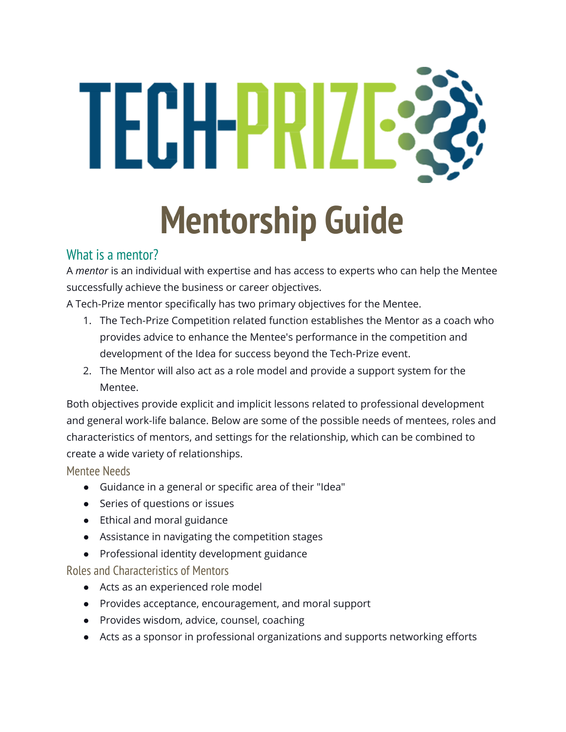# TECH-PRIZE3

## **Mentorship Guide**

### What is a mentor?

A *mentor* is an individual with expertise and has access to experts who can help the Mentee successfully achieve the business or career objectives.

A Tech-Prize mentor specifically has two primary objectives for the Mentee.

- 1. The Tech-Prize Competition related function establishes the Mentor as a coach who provides advice to enhance the Mentee's performance in the competition and development of the Idea for success beyond the Tech-Prize event.
- 2. The Mentor will also act as a role model and provide a support system for the Mentee.

Both objectives provide explicit and implicit lessons related to professional development and general work-life balance. Below are some of the possible needs of mentees, roles and characteristics of mentors, and settings for the relationship, which can be combined to create a wide variety of relationships.

Mentee Needs

- Guidance in a general or specific area of their "Idea"
- Series of questions or issues
- Ethical and moral guidance
- Assistance in navigating the competition stages
- Professional identity development guidance

Roles and Characteristics of Mentors

- Acts as an experienced role model
- Provides acceptance, encouragement, and moral support
- Provides wisdom, advice, counsel, coaching
- Acts as a sponsor in professional organizations and supports networking efforts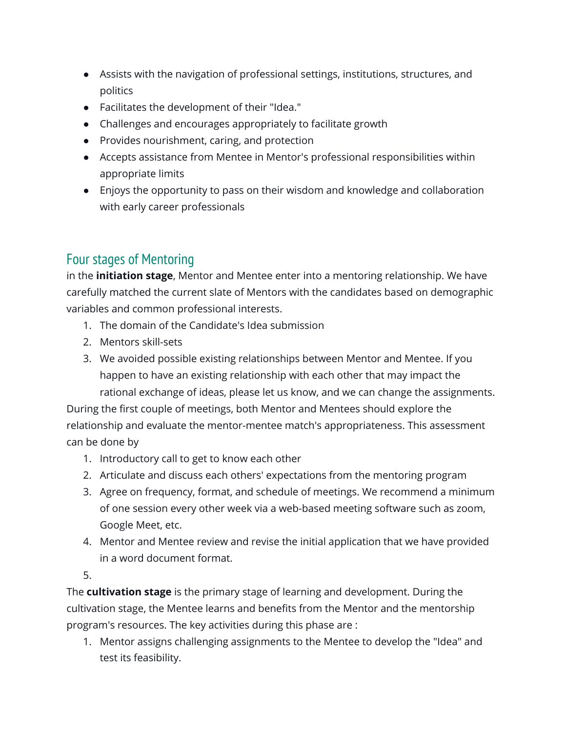- Assists with the navigation of professional settings, institutions, structures, and politics
- Facilitates the development of their "Idea."
- Challenges and encourages appropriately to facilitate growth
- Provides nourishment, caring, and protection
- Accepts assistance from Mentee in Mentor's professional responsibilities within appropriate limits
- Enjoys the opportunity to pass on their wisdom and knowledge and collaboration with early career professionals

### Four stages of Mentoring

in the **initiation stage**, Mentor and Mentee enter into a mentoring relationship. We have carefully matched the current slate of Mentors with the candidates based on demographic variables and common professional interests.

- 1. The domain of the Candidate's Idea submission
- 2. Mentors skill-sets
- 3. We avoided possible existing relationships between Mentor and Mentee. If you happen to have an existing relationship with each other that may impact the rational exchange of ideas, please let us know, and we can change the assignments.

During the first couple of meetings, both Mentor and Mentees should explore the relationship and evaluate the mentor-mentee match's appropriateness. This assessment can be done by

- 1. Introductory call to get to know each other
- 2. Articulate and discuss each others' expectations from the mentoring program
- 3. Agree on frequency, format, and schedule of meetings. We recommend a minimum of one session every other week via a web-based meeting software such as zoom, Google Meet, etc.
- 4. Mentor and Mentee review and revise the initial application that we have provided in a word document format.
- 5.

The **cultivation stage** is the primary stage of learning and development. During the cultivation stage, the Mentee learns and benefits from the Mentor and the mentorship program's resources. The key activities during this phase are :

1. Mentor assigns challenging assignments to the Mentee to develop the "Idea" and test its feasibility.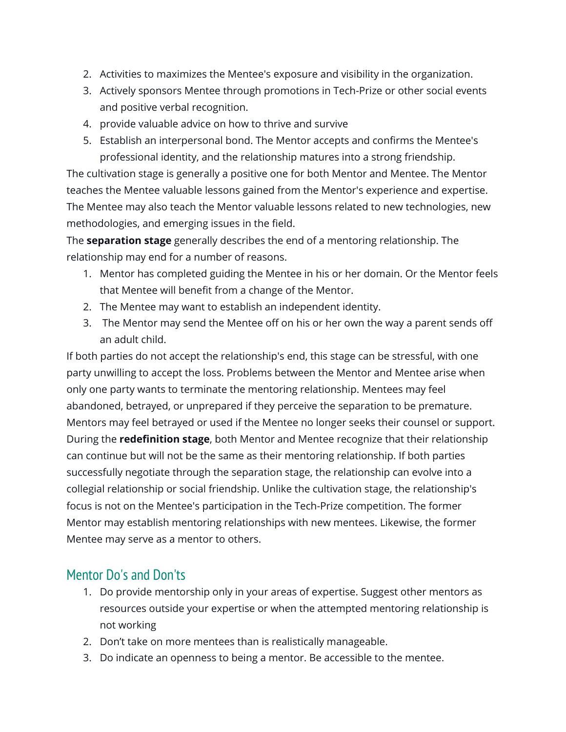- 2. Activities to maximizes the Mentee's exposure and visibility in the organization.
- 3. Actively sponsors Mentee through promotions in Tech-Prize or other social events and positive verbal recognition.
- 4. provide valuable advice on how to thrive and survive
- 5. Establish an interpersonal bond. The Mentor accepts and confirms the Mentee's professional identity, and the relationship matures into a strong friendship.

The cultivation stage is generally a positive one for both Mentor and Mentee. The Mentor teaches the Mentee valuable lessons gained from the Mentor's experience and expertise. The Mentee may also teach the Mentor valuable lessons related to new technologies, new methodologies, and emerging issues in the field.

The **separation stage** generally describes the end of a mentoring relationship. The relationship may end for a number of reasons.

- 1. Mentor has completed guiding the Mentee in his or her domain. Or the Mentor feels that Mentee will benefit from a change of the Mentor.
- 2. The Mentee may want to establish an independent identity.
- 3. The Mentor may send the Mentee off on his or her own the way a parent sends off an adult child.

If both parties do not accept the relationship's end, this stage can be stressful, with one party unwilling to accept the loss. Problems between the Mentor and Mentee arise when only one party wants to terminate the mentoring relationship. Mentees may feel abandoned, betrayed, or unprepared if they perceive the separation to be premature. Mentors may feel betrayed or used if the Mentee no longer seeks their counsel or support. During the **redefinition stage**, both Mentor and Mentee recognize that their relationship can continue but will not be the same as their mentoring relationship. If both parties successfully negotiate through the separation stage, the relationship can evolve into a collegial relationship or social friendship. Unlike the cultivation stage, the relationship's focus is not on the Mentee's participation in the Tech-Prize competition. The former Mentor may establish mentoring relationships with new mentees. Likewise, the former Mentee may serve as a mentor to others.

#### Mentor Do's and Don'ts

- 1. Do provide mentorship only in your areas of expertise. Suggest other mentors as resources outside your expertise or when the attempted mentoring relationship is not working
- 2. Don't take on more mentees than is realistically manageable.
- 3. Do indicate an openness to being a mentor. Be accessible to the mentee.